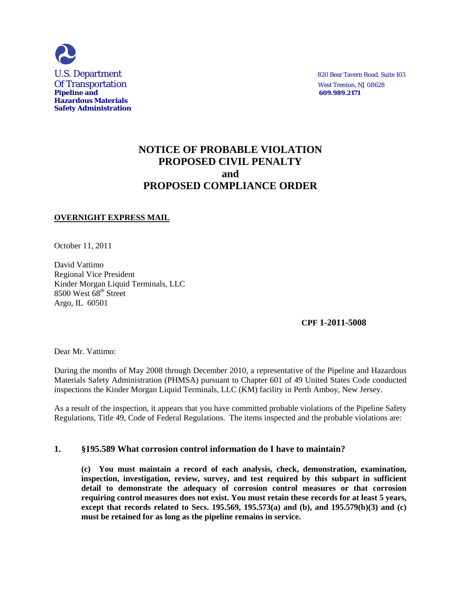

# **NOTICE OF PROBABLE VIOLATION PROPOSED CIVIL PENALTY and PROPOSED COMPLIANCE ORDER**

# **OVERNIGHT EXPRESS MAIL**

October 11, 2011

David Vattimo Regional Vice President Kinder Morgan Liquid Terminals, LLC 8500 West 68<sup>th</sup> Street Argo, IL 60501

**CPF 1-2011-5008**

Dear Mr. Vattimo:

During the months of May 2008 through December 2010, a representative of the Pipeline and Hazardous Materials Safety Administration (PHMSA) pursuant to Chapter 601 of 49 United States Code conducted inspections the Kinder Morgan Liquid Terminals, LLC (KM) facility in Perth Amboy, New Jersey.

As a result of the inspection, it appears that you have committed probable violations of the Pipeline Safety Regulations, Title 49, Code of Federal Regulations. The items inspected and the probable violations are:

# **1. §195.589 What corrosion control information do I have to maintain?**

**(c) You must maintain a record of each analysis, check, demonstration, examination, inspection, investigation, review, survey, and test required by this subpart in sufficient detail to demonstrate the adequacy of corrosion control measures or that corrosion requiring control measures does not exist. You must retain these records for at least 5 years, except that records related to Secs. 195.569, 195.573(a) and (b), and 195.579(b)(3) and (c) must be retained for as long as the pipeline remains in service.**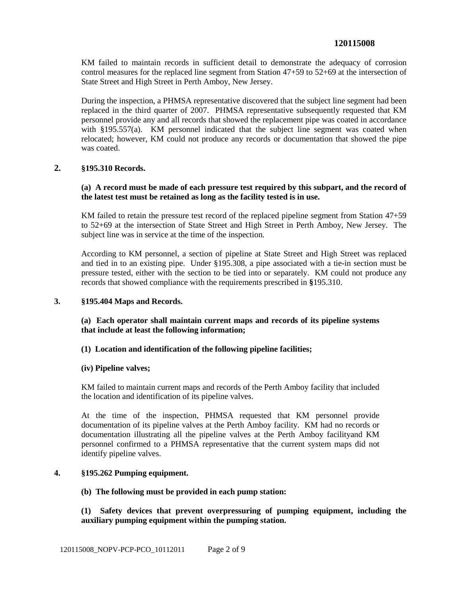# **120115008**

KM failed to maintain records in sufficient detail to demonstrate the adequacy of corrosion control measures for the replaced line segment from Station 47+59 to 52+69 at the intersection of State Street and High Street in Perth Amboy, New Jersey.

During the inspection, a PHMSA representative discovered that the subject line segment had been replaced in the third quarter of 2007. PHMSA representative subsequently requested that KM personnel provide any and all records that showed the replacement pipe was coated in accordance with §195.557(a). KM personnel indicated that the subject line segment was coated when relocated; however, KM could not produce any records or documentation that showed the pipe was coated.

### **2. §195.310 Records.**

# **(a) A record must be made of each pressure test required by this subpart, and the record of the latest test must be retained as long as the facility tested is in use.**

KM failed to retain the pressure test record of the replaced pipeline segment from Station 47+59 to 52+69 at the intersection of State Street and High Street in Perth Amboy, New Jersey. The subject line was in service at the time of the inspection.

According to KM personnel, a section of pipeline at State Street and High Street was replaced and tied in to an existing pipe. Under §195.308, a pipe associated with a tie-in section must be pressure tested, either with the section to be tied into or separately. KM could not produce any records that showed compliance with the requirements prescribed in **§**195.310.

#### **3. §195.404 Maps and Records.**

# **(a) Each operator shall maintain current maps and records of its pipeline systems that include at least the following information;**

#### **(1) Location and identification of the following pipeline facilities;**

#### **(iv) Pipeline valves;**

KM failed to maintain current maps and records of the Perth Amboy facility that included the location and identification of its pipeline valves.

At the time of the inspection, PHMSA requested that KM personnel provide documentation of its pipeline valves at the Perth Amboy facility. KM had no records or documentation illustrating all the pipeline valves at the Perth Amboy facilityand KM personnel confirmed to a PHMSA representative that the current system maps did not identify pipeline valves.

#### **4. §195.262 Pumping equipment.**

#### **(b) The following must be provided in each pump station:**

**(1) Safety devices that prevent overpressuring of pumping equipment, including the auxiliary pumping equipment within the pumping station.**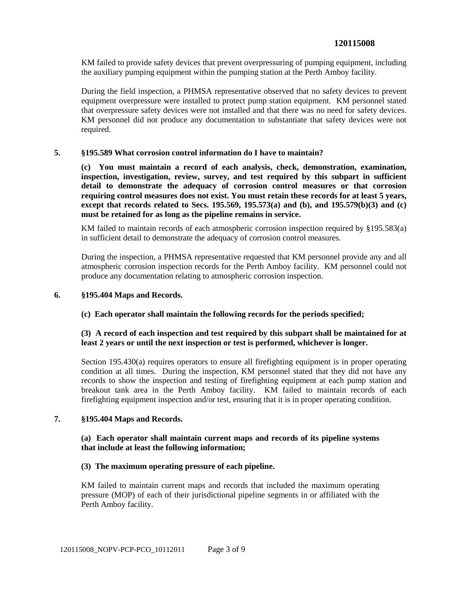KM failed to provide safety devices that prevent overpressuring of pumping equipment, including the auxiliary pumping equipment within the pumping station at the Perth Amboy facility.

During the field inspection, a PHMSA representative observed that no safety devices to prevent equipment overpressure were installed to protect pump station equipment. KM personnel stated that overpressure safety devices were not installed and that there was no need for safety devices. KM personnel did not produce any documentation to substantiate that safety devices were not required.

### **5. §195.589 What corrosion control information do I have to maintain?**

**(c) You must maintain a record of each analysis, check, demonstration, examination, inspection, investigation, review, survey, and test required by this subpart in sufficient detail to demonstrate the adequacy of corrosion control measures or that corrosion requiring control measures does not exist. You must retain these records for at least 5 years, except that records related to Secs. 195.569, 195.573(a) and (b), and 195.579(b)(3) and (c) must be retained for as long as the pipeline remains in service.**

KM failed to maintain records of each atmospheric corrosion inspection required by §195.583(a) in sufficient detail to demonstrate the adequacy of corrosion control measures.

During the inspection, a PHMSA representative requested that KM personnel provide any and all atmospheric corrosion inspection records for the Perth Amboy facility. KM personnel could not produce any documentation relating to atmospheric corrosion inspection.

### **6. §195.404 Maps and Records.**

# **(c) Each operator shall maintain the following records for the periods specified;**

# **(3) A record of each inspection and test required by this subpart shall be maintained for at least 2 years or until the next inspection or test is performed, whichever is longer.**

Section 195.430(a) requires operators to ensure all firefighting equipment is in proper operating condition at all times. During the inspection, KM personnel stated that they did not have any records to show the inspection and testing of firefighting equipment at each pump station and breakout tank area in the Perth Amboy facility. KM failed to maintain records of each firefighting equipment inspection and/or test, ensuring that it is in proper operating condition.

#### **7. §195.404 Maps and Records.**

### **(a) Each operator shall maintain current maps and records of its pipeline systems that include at least the following information;**

#### **(3) The maximum operating pressure of each pipeline.**

KM failed to maintain current maps and records that included the maximum operating pressure (MOP) of each of their jurisdictional pipeline segments in or affiliated with the Perth Amboy facility.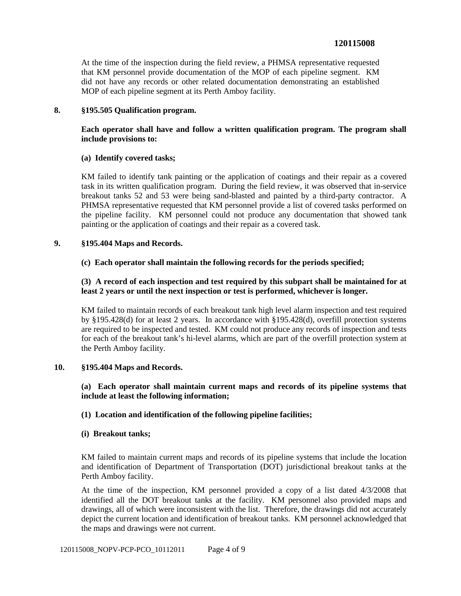# **120115008**

At the time of the inspection during the field review, a PHMSA representative requested that KM personnel provide documentation of the MOP of each pipeline segment. KM did not have any records or other related documentation demonstrating an established MOP of each pipeline segment at its Perth Amboy facility.

### **8. §195.505 Qualification program.**

# **Each operator shall have and follow a written qualification program. The program shall include provisions to:**

### **(a) Identify covered tasks;**

KM failed to identify tank painting or the application of coatings and their repair as a covered task in its written qualification program. During the field review, it was observed that in-service breakout tanks 52 and 53 were being sand-blasted and painted by a third-party contractor. A PHMSA representative requested that KM personnel provide a list of covered tasks performed on the pipeline facility. KM personnel could not produce any documentation that showed tank painting or the application of coatings and their repair as a covered task.

### **9. §195.404 Maps and Records.**

# **(c) Each operator shall maintain the following records for the periods specified;**

# **(3) A record of each inspection and test required by this subpart shall be maintained for at least 2 years or until the next inspection or test is performed, whichever is longer.**

KM failed to maintain records of each breakout tank high level alarm inspection and test required by §195.428(d) for at least 2 years. In accordance with §195.428(d), overfill protection systems are required to be inspected and tested. KM could not produce any records of inspection and tests for each of the breakout tank's hi-level alarms, which are part of the overfill protection system at the Perth Amboy facility.

#### **10. §195.404 Maps and Records.**

# **(a) Each operator shall maintain current maps and records of its pipeline systems that include at least the following information;**

# **(1) Location and identification of the following pipeline facilities;**

### **(i) Breakout tanks;**

KM failed to maintain current maps and records of its pipeline systems that include the location and identification of Department of Transportation (DOT) jurisdictional breakout tanks at the Perth Amboy facility.

At the time of the inspection, KM personnel provided a copy of a list dated 4/3/2008 that identified all the DOT breakout tanks at the facility. KM personnel also provided maps and drawings, all of which were inconsistent with the list. Therefore, the drawings did not accurately depict the current location and identification of breakout tanks. KM personnel acknowledged that the maps and drawings were not current.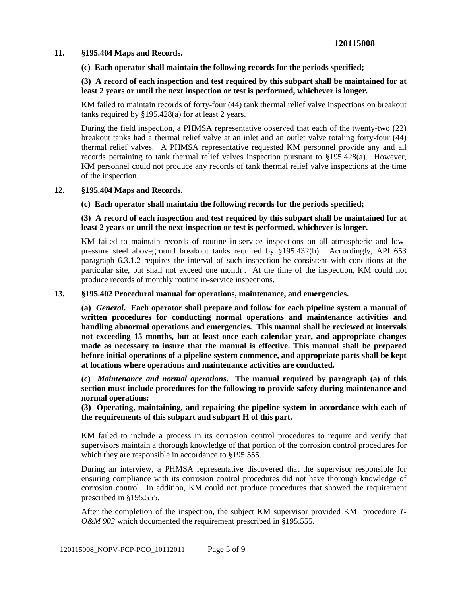### **11. §195.404 Maps and Records.**

# **(c) Each operator shall maintain the following records for the periods specified;**

# **(3) A record of each inspection and test required by this subpart shall be maintained for at least 2 years or until the next inspection or test is performed, whichever is longer.**

KM failed to maintain records of forty-four (44) tank thermal relief valve inspections on breakout tanks required by §195.428(a) for at least 2 years.

During the field inspection, a PHMSA representative observed that each of the twenty-two (22) breakout tanks had a thermal relief valve at an inlet and an outlet valve totaling forty-four (44) thermal relief valves. A PHMSA representative requested KM personnel provide any and all records pertaining to tank thermal relief valves inspection pursuant to §195.428(a). However, KM personnel could not produce any records of tank thermal relief valve inspections at the time of the inspection.

# **12. §195.404 Maps and Records.**

### **(c) Each operator shall maintain the following records for the periods specified;**

### **(3) A record of each inspection and test required by this subpart shall be maintained for at least 2 years or until the next inspection or test is performed, whichever is longer.**

KM failed to maintain records of routine in-service inspections on all atmospheric and lowpressure steel aboveground breakout tanks required by §195.432(b). Accordingly, API 653 paragraph 6.3.1.2 requires the interval of such inspection be consistent with conditions at the particular site, but shall not exceed one month . At the time of the inspection, KM could not produce records of monthly routine in-service inspections.

### **13. §195.402 Procedural manual for operations, maintenance, and emergencies.**

**(a)** *General***. Each operator shall prepare and follow for each pipeline system a manual of written procedures for conducting normal operations and maintenance activities and handling abnormal operations and emergencies. This manual shall be reviewed at intervals not exceeding 15 months, but at least once each calendar year, and appropriate changes made as necessary to insure that the manual is effective. This manual shall be prepared before initial operations of a pipeline system commence, and appropriate parts shall be kept at locations where operations and maintenance activities are conducted.**

**(c)** *Maintenance and normal operations***. The manual required by paragraph (a) of this section must include procedures for the following to provide safety during maintenance and normal operations:**

**(3) Operating, maintaining, and repairing the pipeline system in accordance with each of the requirements of this subpart and subpart H of this part.**

KM failed to include a process in its corrosion control procedures to require and verify that supervisors maintain a thorough knowledge of that portion of the corrosion control procedures for which they are responsible in accordance to §195.555.

During an interview, a PHMSA representative discovered that the supervisor responsible for ensuring compliance with its corrosion control procedures did not have thorough knowledge of corrosion control. In addition, KM could not produce procedures that showed the requirement prescribed in §195.555.

After the completion of the inspection, the subject KM supervisor provided KM procedure *T-O&M 903* which documented the requirement prescribed in §195.555.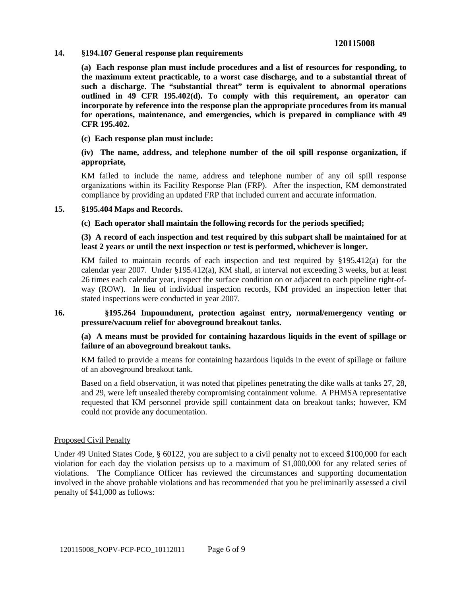# **120115008**

**14. §194.107 General response plan requirements**

**(a) Each response plan must include procedures and a list of resources for responding, to the maximum extent practicable, to a worst case discharge, and to a substantial threat of such a discharge. The "substantial threat" term is equivalent to abnormal operations outlined in 49 CFR 195.402(d). To comply with this requirement, an operator can incorporate by reference into the response plan the appropriate procedures from its manual for operations, maintenance, and emergencies, which is prepared in compliance with 49 CFR 195.402.**

**(c) Each response plan must include:**

### **(iv) The name, address, and telephone number of the oil spill response organization, if appropriate,**

KM failed to include the name, address and telephone number of any oil spill response organizations within its Facility Response Plan (FRP). After the inspection, KM demonstrated compliance by providing an updated FRP that included current and accurate information.

#### **15. §195.404 Maps and Records.**

**(c) Each operator shall maintain the following records for the periods specified;**

### **(3) A record of each inspection and test required by this subpart shall be maintained for at least 2 years or until the next inspection or test is performed, whichever is longer.**

KM failed to maintain records of each inspection and test required by §195.412(a) for the calendar year 2007. Under §195.412(a), KM shall, at interval not exceeding 3 weeks, but at least 26 times each calendar year, inspect the surface condition on or adjacent to each pipeline right-ofway (ROW). In lieu of individual inspection records, KM provided an inspection letter that stated inspections were conducted in year 2007.

# **16. §195.264 Impoundment, protection against entry, normal/emergency venting or pressure/vacuum relief for aboveground breakout tanks.**

### **(a) A means must be provided for containing hazardous liquids in the event of spillage or failure of an aboveground breakout tanks.**

KM failed to provide a means for containing hazardous liquids in the event of spillage or failure of an aboveground breakout tank.

Based on a field observation, it was noted that pipelines penetrating the dike walls at tanks 27, 28, and 29, were left unsealed thereby compromising containment volume. A PHMSA representative requested that KM personnel provide spill containment data on breakout tanks; however, KM could not provide any documentation.

#### Proposed Civil Penalty

Under 49 United States Code, § 60122, you are subject to a civil penalty not to exceed \$100,000 for each violation for each day the violation persists up to a maximum of \$1,000,000 for any related series of violations. The Compliance Officer has reviewed the circumstances and supporting documentation involved in the above probable violations and has recommended that you be preliminarily assessed a civil penalty of \$41,000 as follows: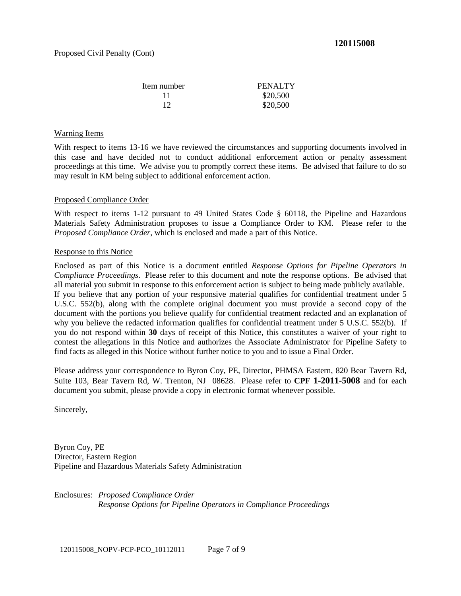| Item number | PENALTY  |
|-------------|----------|
| 11          | \$20,500 |
| 12          | \$20,500 |

### Warning Items

With respect to items 13-16 we have reviewed the circumstances and supporting documents involved in this case and have decided not to conduct additional enforcement action or penalty assessment proceedings at this time. We advise you to promptly correct these items. Be advised that failure to do so may result in KM being subject to additional enforcement action.

### Proposed Compliance Order

With respect to items 1-12 pursuant to 49 United States Code § 60118, the Pipeline and Hazardous Materials Safety Administration proposes to issue a Compliance Order to KM. Please refer to the *Proposed Compliance Order*, which is enclosed and made a part of this Notice.

### Response to this Notice

Enclosed as part of this Notice is a document entitled *Response Options for Pipeline Operators in Compliance Proceedings*. Please refer to this document and note the response options. Be advised that all material you submit in response to this enforcement action is subject to being made publicly available. If you believe that any portion of your responsive material qualifies for confidential treatment under 5 U.S.C. 552(b), along with the complete original document you must provide a second copy of the document with the portions you believe qualify for confidential treatment redacted and an explanation of why you believe the redacted information qualifies for confidential treatment under 5 U.S.C. 552(b). If you do not respond within **30** days of receipt of this Notice, this constitutes a waiver of your right to contest the allegations in this Notice and authorizes the Associate Administrator for Pipeline Safety to find facts as alleged in this Notice without further notice to you and to issue a Final Order.

Please address your correspondence to Byron Coy, PE, Director, PHMSA Eastern, 820 Bear Tavern Rd, Suite 103, Bear Tavern Rd, W. Trenton, NJ 08628. Please refer to **CPF 1-2011-5008** and for each document you submit, please provide a copy in electronic format whenever possible.

Sincerely,

Byron Coy, PE Director, Eastern Region Pipeline and Hazardous Materials Safety Administration

Enclosures: *Proposed Compliance Order Response Options for Pipeline Operators in Compliance Proceedings*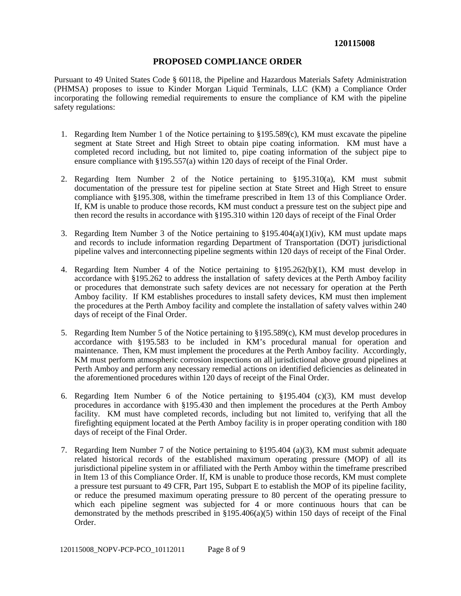### **PROPOSED COMPLIANCE ORDER**

Pursuant to 49 United States Code § 60118, the Pipeline and Hazardous Materials Safety Administration (PHMSA) proposes to issue to Kinder Morgan Liquid Terminals, LLC (KM) a Compliance Order incorporating the following remedial requirements to ensure the compliance of KM with the pipeline safety regulations:

- 1. Regarding Item Number 1 of the Notice pertaining to §195.589(c), KM must excavate the pipeline segment at State Street and High Street to obtain pipe coating information. KM must have a completed record including, but not limited to, pipe coating information of the subject pipe to ensure compliance with §195.557(a) within 120 days of receipt of the Final Order.
- 2. Regarding Item Number 2 of the Notice pertaining to §195.310(a), KM must submit documentation of the pressure test for pipeline section at State Street and High Street to ensure compliance with §195.308, within the timeframe prescribed in Item 13 of this Compliance Order. If, KM is unable to produce those records, KM must conduct a pressure test on the subject pipe and then record the results in accordance with §195.310 within 120 days of receipt of the Final Order
- 3. Regarding Item Number 3 of the Notice pertaining to  $\S 195.404(a)(1)(iv)$ , KM must update maps and records to include information regarding Department of Transportation (DOT) jurisdictional pipeline valves and interconnecting pipeline segments within 120 days of receipt of the Final Order.
- 4. Regarding Item Number 4 of the Notice pertaining to §195.262(b)(1), KM must develop in accordance with §195.262 to address the installation of safety devices at the Perth Amboy facility or procedures that demonstrate such safety devices are not necessary for operation at the Perth Amboy facility. If KM establishes procedures to install safety devices, KM must then implement the procedures at the Perth Amboy facility and complete the installation of safety valves within 240 days of receipt of the Final Order.
- 5. Regarding Item Number 5 of the Notice pertaining to §195.589(c), KM must develop procedures in accordance with §195.583 to be included in KM's procedural manual for operation and maintenance. Then, KM must implement the procedures at the Perth Amboy facility. Accordingly, KM must perform atmospheric corrosion inspections on all jurisdictional above ground pipelines at Perth Amboy and perform any necessary remedial actions on identified deficiencies as delineated in the aforementioned procedures within 120 days of receipt of the Final Order.
- 6. Regarding Item Number 6 of the Notice pertaining to §195.404 (c)(3), KM must develop procedures in accordance with §195.430 and then implement the procedures at the Perth Amboy facility. KM must have completed records, including but not limited to, verifying that all the firefighting equipment located at the Perth Amboy facility is in proper operating condition with 180 days of receipt of the Final Order.
- 7. Regarding Item Number 7 of the Notice pertaining to §195.404 (a)(3), KM must submit adequate related historical records of the established maximum operating pressure (MOP) of all its jurisdictional pipeline system in or affiliated with the Perth Amboy within the timeframe prescribed in Item 13 of this Compliance Order. If, KM is unable to produce those records, KM must complete a pressure test pursuant to 49 CFR, Part 195, Subpart E to establish the MOP of its pipeline facility, or reduce the presumed maximum operating pressure to 80 percent of the operating pressure to which each pipeline segment was subjected for 4 or more continuous hours that can be demonstrated by the methods prescribed in §195.406(a)(5) within 150 days of receipt of the Final Order.